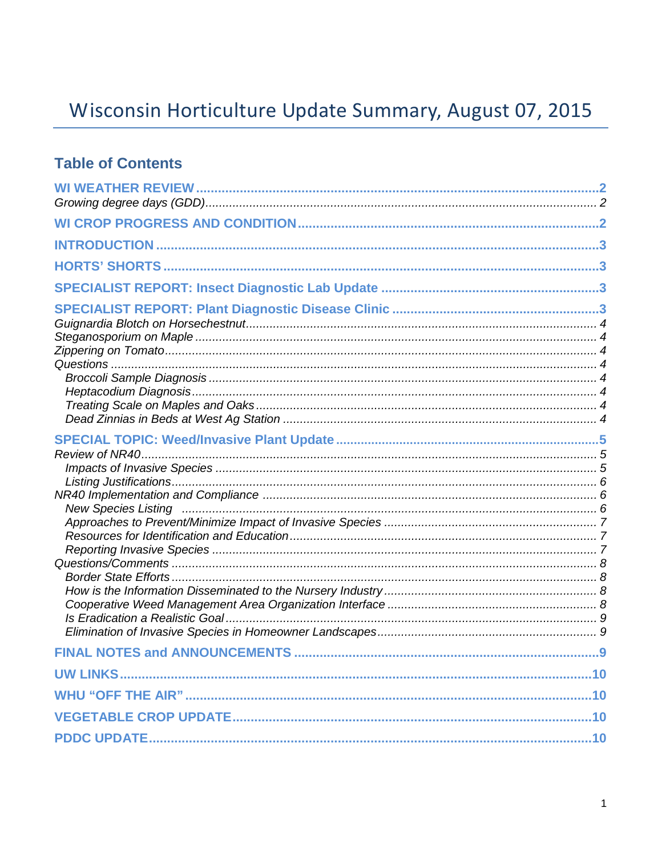# Wisconsin Horticulture Update Summary, August 07, 2015

## **Table of Contents**

| <b>New Species Listing</b> |  |
|----------------------------|--|
|                            |  |
|                            |  |
|                            |  |
|                            |  |
|                            |  |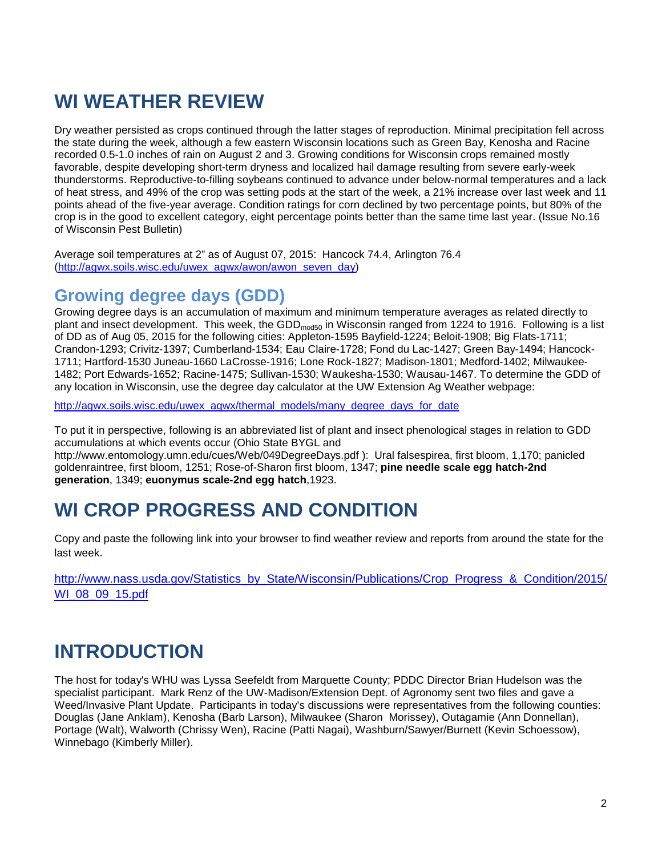# **WI WEATHER REVIEW**

Dry weather persisted as crops continued through the latter stages of reproduction. Minimal precipitation fell across the state during the week, although a few eastern Wisconsin locations such as Green Bay, Kenosha and Racine recorded 0.5-1.0 inches of rain on August 2 and 3. Growing conditions for Wisconsin crops remained mostly favorable, despite developing short-term dryness and localized hail damage resulting from severe early-week thunderstorms. Reproductive-to-filling soybeans continued to advance under below-normal temperatures and a lack of heat stress, and 49% of the crop was setting pods at the start of the week, a 21% increase over last week and 11 points ahead of the five-year average. Condition ratings for corn declined by two percentage points, but 80% of the crop is in the good to excellent category, eight percentage points better than the same time last year. (Issue No.16 of Wisconsin Pest Bulletin)

Average soil temperatures at 2" as of August 07, 2015: Hancock 74.4, Arlington 76.4 [\(http://agwx.soils.wisc.edu/uwex\\_agwx/awon/awon\\_seven\\_day\)](http://agwx.soils.wisc.edu/uwex_agwx/awon/awon_seven_day)

## **Growing degree days (GDD)**

Growing degree days is an accumulation of maximum and minimum temperature averages as related directly to plant and insect development. This week, the GDD<sub>mod50</sub> in Wisconsin ranged from 1224 to 1916. Following is a list of DD as of Aug 05, 2015 for the following cities: Appleton-1595 Bayfield-1224; Beloit-1908; Big Flats-1711; Crandon-1293; Crivitz-1397; Cumberland-1534; Eau Claire-1728; Fond du Lac-1427; Green Bay-1494; Hancock-1711; Hartford-1530 Juneau-1660 LaCrosse-1916; Lone Rock-1827; Madison-1801; Medford-1402; Milwaukee-1482; Port Edwards-1652; Racine-1475; Sullivan-1530; Waukesha-1530; Wausau-1467. To determine the GDD of any location in Wisconsin, use the degree day calculator at the UW Extension Ag Weather webpage:

[http://agwx.soils.wisc.edu/uwex\\_agwx/thermal\\_models/many\\_degree\\_days\\_for\\_date](http://agwx.soils.wisc.edu/uwex_agwx/thermal_models/many_degree_days_for_date)

To put it in perspective, following is an abbreviated list of plant and insect phenological stages in relation to GDD accumulations at which events occur (Ohio State BYGL and

http://www.entomology.umn.edu/cues/Web/049DegreeDays.pdf ): Ural falsespirea, first bloom, 1,170; panicled goldenraintree, first bloom, 1251; Rose-of-Sharon first bloom, 1347; **pine needle scale egg hatch-2nd generation**, 1349; **euonymus scale-2nd egg hatch**,1923.

## **WI CROP PROGRESS AND CONDITION**

Copy and paste the following link into your browser to find weather review and reports from around the state for the last week.

[http://www.nass.usda.gov/Statistics\\_by\\_State/Wisconsin/Publications/Crop\\_Progress\\_&\\_Condition/2015/](http://www.nass.usda.gov/Statistics_by_State/Wisconsin/Publications/Crop_Progress_&_Condition/2015/WI_08_09_15.pdf) [WI\\_08\\_09\\_15.pdf](http://www.nass.usda.gov/Statistics_by_State/Wisconsin/Publications/Crop_Progress_&_Condition/2015/WI_08_09_15.pdf)

## **INTRODUCTION**

The host for today's WHU was Lyssa Seefeldt from Marquette County; PDDC Director Brian Hudelson was the specialist participant. Mark Renz of the UW-Madison/Extension Dept. of Agronomy sent two files and gave a Weed/Invasive Plant Update. Participants in today's discussions were representatives from the following counties: Douglas (Jane Anklam), Kenosha (Barb Larson), Milwaukee (Sharon Morissey), Outagamie (Ann Donnellan), Portage (Walt), Walworth (Chrissy Wen), Racine (Patti Nagai), Washburn/Sawyer/Burnett (Kevin Schoessow), Winnebago (Kimberly Miller).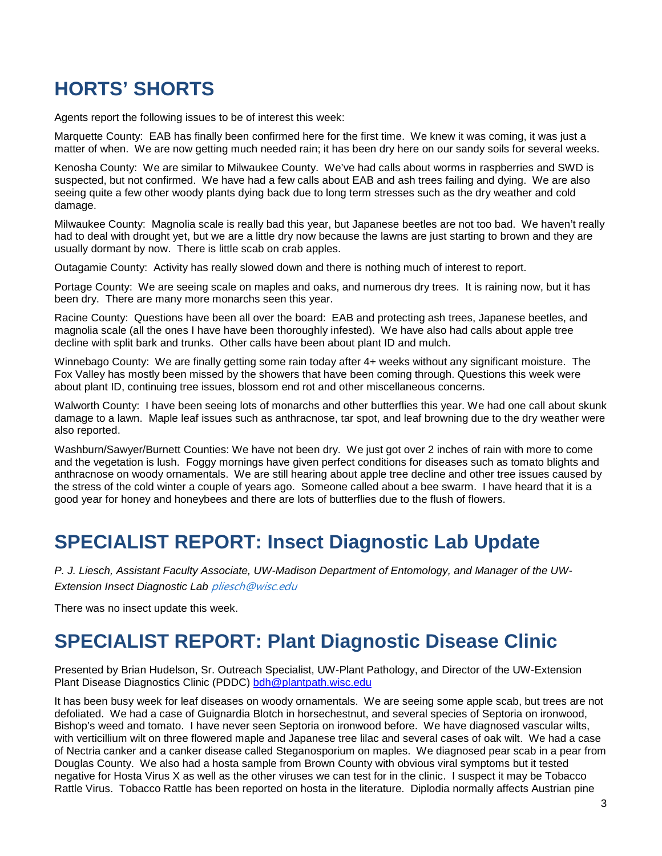## **HORTS' SHORTS**

Agents report the following issues to be of interest this week:

Marquette County: EAB has finally been confirmed here for the first time. We knew it was coming, it was just a matter of when. We are now getting much needed rain; it has been dry here on our sandy soils for several weeks.

Kenosha County: We are similar to Milwaukee County. We've had calls about worms in raspberries and SWD is suspected, but not confirmed. We have had a few calls about EAB and ash trees failing and dying. We are also seeing quite a few other woody plants dying back due to long term stresses such as the dry weather and cold damage.

Milwaukee County: Magnolia scale is really bad this year, but Japanese beetles are not too bad. We haven't really had to deal with drought yet, but we are a little dry now because the lawns are just starting to brown and they are usually dormant by now. There is little scab on crab apples.

Outagamie County: Activity has really slowed down and there is nothing much of interest to report.

Portage County: We are seeing scale on maples and oaks, and numerous dry trees. It is raining now, but it has been dry. There are many more monarchs seen this year.

Racine County: Questions have been all over the board: EAB and protecting ash trees, Japanese beetles, and magnolia scale (all the ones I have have been thoroughly infested). We have also had calls about apple tree decline with split bark and trunks. Other calls have been about plant ID and mulch.

Winnebago County: We are finally getting some rain today after 4+ weeks without any significant moisture. The Fox Valley has mostly been missed by the showers that have been coming through. Questions this week were about plant ID, continuing tree issues, blossom end rot and other miscellaneous concerns.

Walworth County: I have been seeing lots of monarchs and other butterflies this year. We had one call about skunk damage to a lawn. Maple leaf issues such as anthracnose, tar spot, and leaf browning due to the dry weather were also reported.

Washburn/Sawyer/Burnett Counties: We have not been dry. We just got over 2 inches of rain with more to come and the vegetation is lush. Foggy mornings have given perfect conditions for diseases such as tomato blights and anthracnose on woody ornamentals. We are still hearing about apple tree decline and other tree issues caused by the stress of the cold winter a couple of years ago. Someone called about a bee swarm. I have heard that it is a good year for honey and honeybees and there are lots of butterflies due to the flush of flowers.

## **SPECIALIST REPORT: Insect Diagnostic Lab Update**

*P. J. Liesch, Assistant Faculty Associate, UW-Madison Department of Entomology, and Manager of the UW-Extension Insect Diagnostic Lab* [pliesch@wisc.edu](mailto:pliesch@wisc.edu)

There was no insect update this week.

## **SPECIALIST REPORT: Plant Diagnostic Disease Clinic**

Presented by Brian Hudelson, Sr. Outreach Specialist, UW-Plant Pathology, and Director of the UW-Extension Plant Disease Diagnostics Clinic (PDDC) [bdh@plantpath.wisc.edu](mailto:bdh@plantpath.wisc.edu)

It has been busy week for leaf diseases on woody ornamentals. We are seeing some apple scab, but trees are not defoliated. We had a case of Guignardia Blotch in horsechestnut, and several species of Septoria on ironwood, Bishop's weed and tomato. I have never seen Septoria on ironwood before. We have diagnosed vascular wilts, with verticillium wilt on three flowered maple and Japanese tree lilac and several cases of oak wilt. We had a case of Nectria canker and a canker disease called Steganosporium on maples. We diagnosed pear scab in a pear from Douglas County. We also had a hosta sample from Brown County with obvious viral symptoms but it tested negative for Hosta Virus X as well as the other viruses we can test for in the clinic. I suspect it may be Tobacco Rattle Virus. Tobacco Rattle has been reported on hosta in the literature. Diplodia normally affects Austrian pine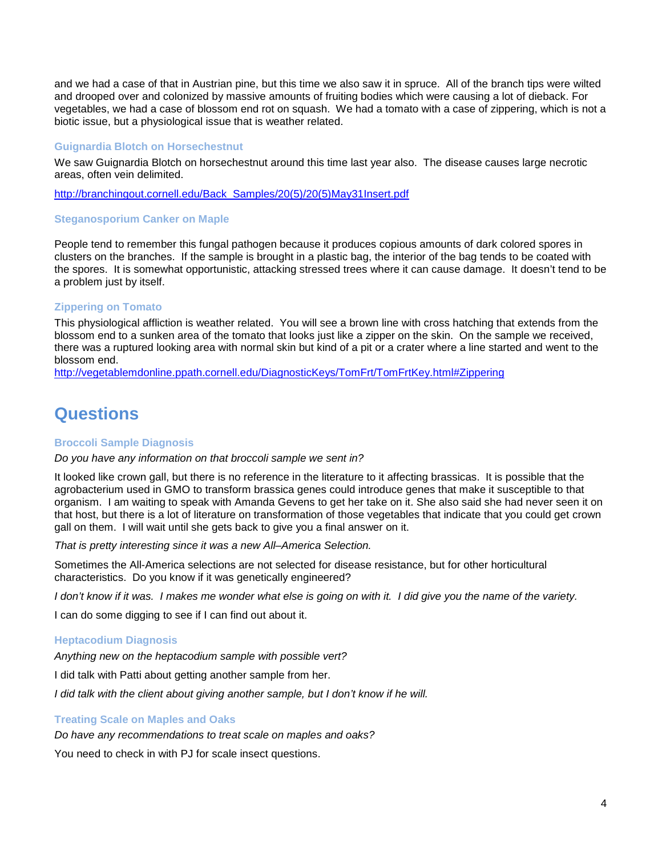and we had a case of that in Austrian pine, but this time we also saw it in spruce. All of the branch tips were wilted and drooped over and colonized by massive amounts of fruiting bodies which were causing a lot of dieback. For vegetables, we had a case of blossom end rot on squash. We had a tomato with a case of zippering, which is not a biotic issue, but a physiological issue that is weather related.

### **Guignardia Blotch on Horsechestnut**

We saw Guignardia Blotch on horsechestnut around this time last year also. The disease causes large necrotic areas, often vein delimited.

[http://branchingout.cornell.edu/Back\\_Samples/20\(5\)/20\(5\)May31Insert.pdf](http://branchingout.cornell.edu/Back_Samples/20(5)/20(5)May31Insert.pdf)

### **Steganosporium Canker on Maple**

People tend to remember this fungal pathogen because it produces copious amounts of dark colored spores in clusters on the branches. If the sample is brought in a plastic bag, the interior of the bag tends to be coated with the spores. It is somewhat opportunistic, attacking stressed trees where it can cause damage. It doesn't tend to be a problem just by itself.

### **Zippering on Tomato**

This physiological affliction is weather related. You will see a brown line with cross hatching that extends from the blossom end to a sunken area of the tomato that looks just like a zipper on the skin. On the sample we received, there was a ruptured looking area with normal skin but kind of a pit or a crater where a line started and went to the blossom end.

[http://vegetablemdonline.ppath.cornell.edu/DiagnosticKeys/TomFrt/TomFrtKey.html#Zippering](http://vegetablemdonline.ppath.cornell.edu/DiagnosticKeys/TomFrt/TomFrtKey.html%23Zippering)

## **Questions**

### **Broccoli Sample Diagnosis**

*Do you have any information on that broccoli sample we sent in?*

It looked like crown gall, but there is no reference in the literature to it affecting brassicas. It is possible that the agrobacterium used in GMO to transform brassica genes could introduce genes that make it susceptible to that organism. I am waiting to speak with Amanda Gevens to get her take on it. She also said she had never seen it on that host, but there is a lot of literature on transformation of those vegetables that indicate that you could get crown gall on them. I will wait until she gets back to give you a final answer on it.

*That is pretty interesting since it was a new All–America Selection.*

Sometimes the All-America selections are not selected for disease resistance, but for other horticultural characteristics. Do you know if it was genetically engineered?

*I don't know if it was. I makes me wonder what else is going on with it. I did give you the name of the variety.*

I can do some digging to see if I can find out about it.

### **Heptacodium Diagnosis**

*Anything new on the heptacodium sample with possible vert?*

I did talk with Patti about getting another sample from her.

*I did talk with the client about giving another sample, but I don't know if he will.*

### **Treating Scale on Maples and Oaks**

*Do have any recommendations to treat scale on maples and oaks?*

You need to check in with PJ for scale insect questions.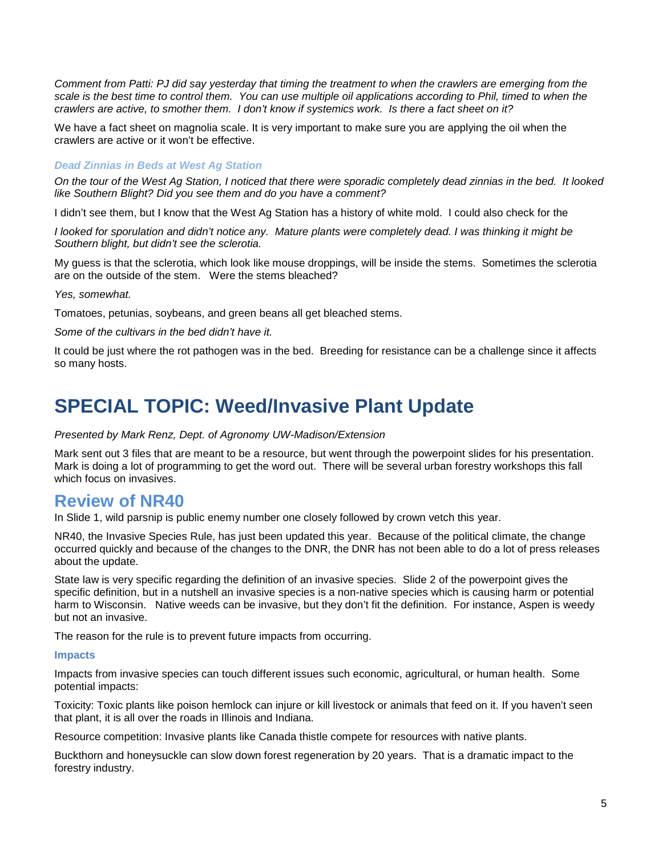*Comment from Patti: PJ did say yesterday that timing the treatment to when the crawlers are emerging from the scale is the best time to control them. You can use multiple oil applications according to Phil, timed to when the crawlers are active, to smother them. I don't know if systemics work. Is there a fact sheet on it?*

We have a fact sheet on magnolia scale. It is very important to make sure you are applying the oil when the crawlers are active or it won't be effective.

### *Dead Zinnias in Beds at West Ag Station*

*On the tour of the West Ag Station, I noticed that there were sporadic completely dead zinnias in the bed. It looked like Southern Blight? Did you see them and do you have a comment?*

I didn't see them, but I know that the West Ag Station has a history of white mold. I could also check for the

*I looked for sporulation and didn't notice any. Mature plants were completely dead. I was thinking it might be Southern blight, but didn't see the sclerotia.*

My guess is that the sclerotia, which look like mouse droppings, will be inside the stems. Sometimes the sclerotia are on the outside of the stem. Were the stems bleached?

*Yes, somewhat.*

Tomatoes, petunias, soybeans, and green beans all get bleached stems.

*Some of the cultivars in the bed didn't have it.*

It could be just where the rot pathogen was in the bed. Breeding for resistance can be a challenge since it affects so many hosts.

## **SPECIAL TOPIC: Weed/Invasive Plant Update**

### *Presented by Mark Renz, Dept. of Agronomy UW-Madison/Extension*

Mark sent out 3 files that are meant to be a resource, but went through the powerpoint slides for his presentation. Mark is doing a lot of programming to get the word out. There will be several urban forestry workshops this fall which focus on invasives.

### **Review of NR40**

In Slide 1, wild parsnip is public enemy number one closely followed by crown vetch this year.

NR40, the Invasive Species Rule, has just been updated this year. Because of the political climate, the change occurred quickly and because of the changes to the DNR, the DNR has not been able to do a lot of press releases about the update.

State law is very specific regarding the definition of an invasive species. Slide 2 of the powerpoint gives the specific definition, but in a nutshell an invasive species is a non-native species which is causing harm or potential harm to Wisconsin. Native weeds can be invasive, but they don't fit the definition. For instance, Aspen is weedy but not an invasive.

The reason for the rule is to prevent future impacts from occurring.

### **Impacts**

Impacts from invasive species can touch different issues such economic, agricultural, or human health. Some potential impacts:

Toxicity: Toxic plants like poison hemlock can injure or kill livestock or animals that feed on it. If you haven't seen that plant, it is all over the roads in Illinois and Indiana.

Resource competition: Invasive plants like Canada thistle compete for resources with native plants.

Buckthorn and honeysuckle can slow down forest regeneration by 20 years. That is a dramatic impact to the forestry industry.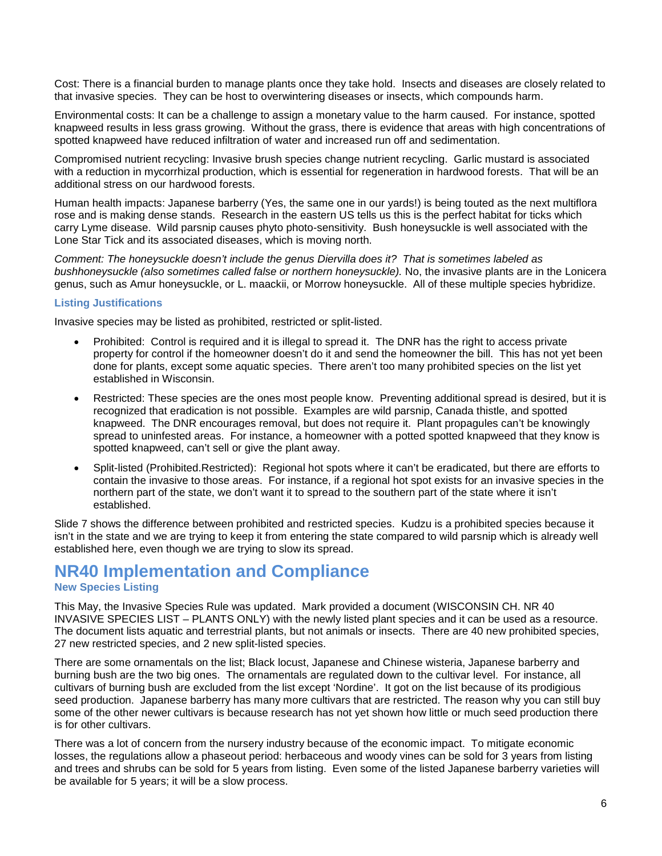Cost: There is a financial burden to manage plants once they take hold. Insects and diseases are closely related to that invasive species. They can be host to overwintering diseases or insects, which compounds harm.

Environmental costs: It can be a challenge to assign a monetary value to the harm caused. For instance, spotted knapweed results in less grass growing. Without the grass, there is evidence that areas with high concentrations of spotted knapweed have reduced infiltration of water and increased run off and sedimentation.

Compromised nutrient recycling: Invasive brush species change nutrient recycling. Garlic mustard is associated with a reduction in mycorrhizal production, which is essential for regeneration in hardwood forests. That will be an additional stress on our hardwood forests.

Human health impacts: Japanese barberry (Yes, the same one in our yards!) is being touted as the next multiflora rose and is making dense stands. Research in the eastern US tells us this is the perfect habitat for ticks which carry Lyme disease. Wild parsnip causes phyto photo-sensitivity. Bush honeysuckle is well associated with the Lone Star Tick and its associated diseases, which is moving north.

*Comment: The honeysuckle doesn't include the genus Diervilla does it? That is sometimes labeled as bushhoneysuckle (also sometimes called false or northern honeysuckle).* No, the invasive plants are in the Lonicera genus, such as Amur honeysuckle, or L. maackii, or Morrow honeysuckle. All of these multiple species hybridize.

### **Listing Justifications**

Invasive species may be listed as prohibited, restricted or split-listed.

- Prohibited: Control is required and it is illegal to spread it. The DNR has the right to access private property for control if the homeowner doesn't do it and send the homeowner the bill. This has not yet been done for plants, except some aquatic species. There aren't too many prohibited species on the list yet established in Wisconsin.
- Restricted: These species are the ones most people know. Preventing additional spread is desired, but it is recognized that eradication is not possible. Examples are wild parsnip, Canada thistle, and spotted knapweed. The DNR encourages removal, but does not require it. Plant propagules can't be knowingly spread to uninfested areas. For instance, a homeowner with a potted spotted knapweed that they know is spotted knapweed, can't sell or give the plant away.
- Split-listed (Prohibited.Restricted): Regional hot spots where it can't be eradicated, but there are efforts to contain the invasive to those areas. For instance, if a regional hot spot exists for an invasive species in the northern part of the state, we don't want it to spread to the southern part of the state where it isn't established.

Slide 7 shows the difference between prohibited and restricted species. Kudzu is a prohibited species because it isn't in the state and we are trying to keep it from entering the state compared to wild parsnip which is already well established here, even though we are trying to slow its spread.

### **NR40 Implementation and Compliance**

### **New Species Listing**

This May, the Invasive Species Rule was updated. Mark provided a document (WISCONSIN CH. NR 40 INVASIVE SPECIES LIST – PLANTS ONLY) with the newly listed plant species and it can be used as a resource. The document lists aquatic and terrestrial plants, but not animals or insects. There are 40 new prohibited species, 27 new restricted species, and 2 new split-listed species.

There are some ornamentals on the list; Black locust, Japanese and Chinese wisteria, Japanese barberry and burning bush are the two big ones. The ornamentals are regulated down to the cultivar level. For instance, all cultivars of burning bush are excluded from the list except 'Nordine'. It got on the list because of its prodigious seed production. Japanese barberry has many more cultivars that are restricted. The reason why you can still buy some of the other newer cultivars is because research has not yet shown how little or much seed production there is for other cultivars.

There was a lot of concern from the nursery industry because of the economic impact. To mitigate economic losses, the regulations allow a phaseout period: herbaceous and woody vines can be sold for 3 years from listing and trees and shrubs can be sold for 5 years from listing. Even some of the listed Japanese barberry varieties will be available for 5 years; it will be a slow process.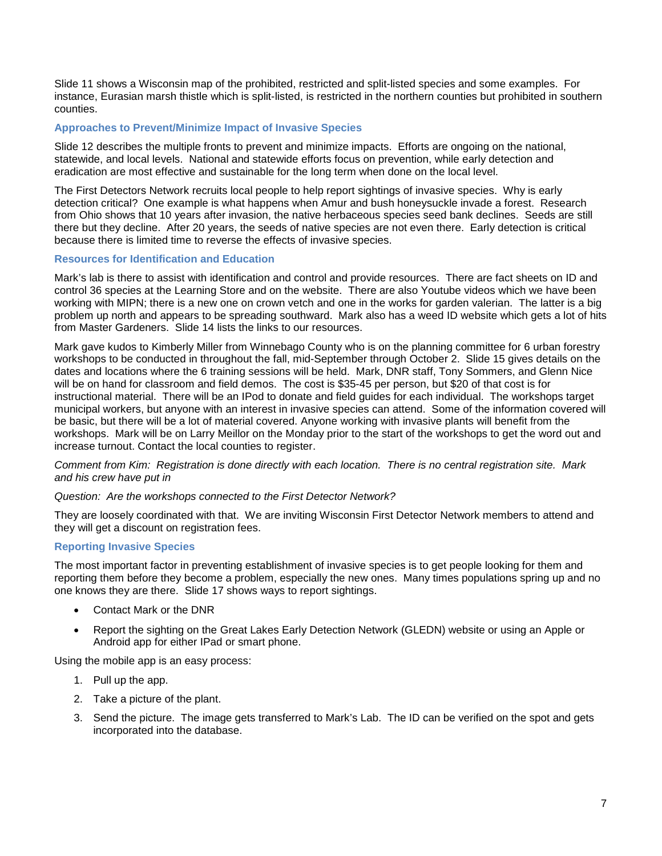Slide 11 shows a Wisconsin map of the prohibited, restricted and split-listed species and some examples. For instance, Eurasian marsh thistle which is split-listed, is restricted in the northern counties but prohibited in southern counties.

### **Approaches to Prevent/Minimize Impact of Invasive Species**

Slide 12 describes the multiple fronts to prevent and minimize impacts. Efforts are ongoing on the national, statewide, and local levels. National and statewide efforts focus on prevention, while early detection and eradication are most effective and sustainable for the long term when done on the local level.

The First Detectors Network recruits local people to help report sightings of invasive species. Why is early detection critical? One example is what happens when Amur and bush honeysuckle invade a forest. Research from Ohio shows that 10 years after invasion, the native herbaceous species seed bank declines. Seeds are still there but they decline. After 20 years, the seeds of native species are not even there. Early detection is critical because there is limited time to reverse the effects of invasive species.

### **Resources for Identification and Education**

Mark's lab is there to assist with identification and control and provide resources. There are fact sheets on ID and control 36 species at the Learning Store and on the website. There are also Youtube videos which we have been working with MIPN; there is a new one on crown vetch and one in the works for garden valerian. The latter is a big problem up north and appears to be spreading southward. Mark also has a weed ID website which gets a lot of hits from Master Gardeners. Slide 14 lists the links to our resources.

Mark gave kudos to Kimberly Miller from Winnebago County who is on the planning committee for 6 urban forestry workshops to be conducted in throughout the fall, mid-September through October 2. Slide 15 gives details on the dates and locations where the 6 training sessions will be held. Mark, DNR staff, Tony Sommers, and Glenn Nice will be on hand for classroom and field demos. The cost is \$35-45 per person, but \$20 of that cost is for instructional material. There will be an IPod to donate and field guides for each individual. The workshops target municipal workers, but anyone with an interest in invasive species can attend. Some of the information covered will be basic, but there will be a lot of material covered. Anyone working with invasive plants will benefit from the workshops. Mark will be on Larry Meillor on the Monday prior to the start of the workshops to get the word out and increase turnout. Contact the local counties to register.

*Comment from Kim: Registration is done directly with each location. There is no central registration site. Mark and his crew have put in* 

### *Question: Are the workshops connected to the First Detector Network?*

They are loosely coordinated with that. We are inviting Wisconsin First Detector Network members to attend and they will get a discount on registration fees.

### **Reporting Invasive Species**

The most important factor in preventing establishment of invasive species is to get people looking for them and reporting them before they become a problem, especially the new ones. Many times populations spring up and no one knows they are there. Slide 17 shows ways to report sightings.

- Contact Mark or the DNR
- Report the sighting on the Great Lakes Early Detection Network (GLEDN) website or using an Apple or Android app for either IPad or smart phone.

Using the mobile app is an easy process:

- 1. Pull up the app.
- 2. Take a picture of the plant.
- 3. Send the picture. The image gets transferred to Mark's Lab. The ID can be verified on the spot and gets incorporated into the database.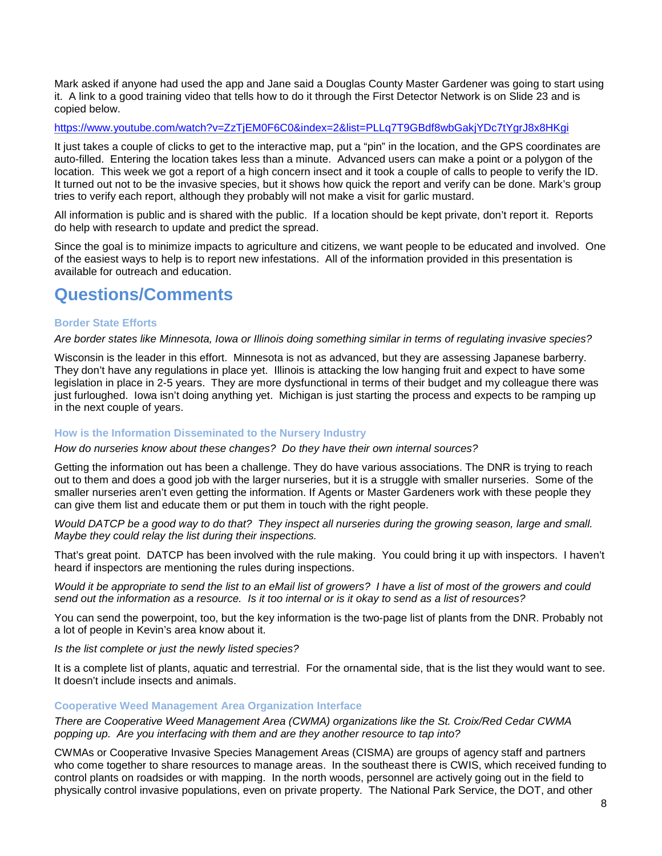Mark asked if anyone had used the app and Jane said a Douglas County Master Gardener was going to start using it. A link to a good training video that tells how to do it through the First Detector Network is on Slide 23 and is copied below.

<https://www.youtube.com/watch?v=ZzTjEM0F6C0&index=2&list=PLLq7T9GBdf8wbGakjYDc7tYgrJ8x8HKgi>

It just takes a couple of clicks to get to the interactive map, put a "pin" in the location, and the GPS coordinates are auto-filled. Entering the location takes less than a minute. Advanced users can make a point or a polygon of the location. This week we got a report of a high concern insect and it took a couple of calls to people to verify the ID. It turned out not to be the invasive species, but it shows how quick the report and verify can be done. Mark's group tries to verify each report, although they probably will not make a visit for garlic mustard.

All information is public and is shared with the public. If a location should be kept private, don't report it. Reports do help with research to update and predict the spread.

Since the goal is to minimize impacts to agriculture and citizens, we want people to be educated and involved. One of the easiest ways to help is to report new infestations. All of the information provided in this presentation is available for outreach and education.

## **Questions/Comments**

### **Border State Efforts**

### *Are border states like Minnesota, Iowa or Illinois doing something similar in terms of regulating invasive species?*

Wisconsin is the leader in this effort. Minnesota is not as advanced, but they are assessing Japanese barberry. They don't have any regulations in place yet. Illinois is attacking the low hanging fruit and expect to have some legislation in place in 2-5 years. They are more dysfunctional in terms of their budget and my colleague there was just furloughed. Iowa isn't doing anything yet. Michigan is just starting the process and expects to be ramping up in the next couple of years.

### **How is the Information Disseminated to the Nursery Industry**

### *How do nurseries know about these changes? Do they have their own internal sources?*

Getting the information out has been a challenge. They do have various associations. The DNR is trying to reach out to them and does a good job with the larger nurseries, but it is a struggle with smaller nurseries. Some of the smaller nurseries aren't even getting the information. If Agents or Master Gardeners work with these people they can give them list and educate them or put them in touch with the right people.

*Would DATCP be a good way to do that? They inspect all nurseries during the growing season, large and small. Maybe they could relay the list during their inspections.*

That's great point. DATCP has been involved with the rule making. You could bring it up with inspectors. I haven't heard if inspectors are mentioning the rules during inspections.

*Would it be appropriate to send the list to an eMail list of growers? I have a list of most of the growers and could send out the information as a resource. Is it too internal or is it okay to send as a list of resources?*

You can send the powerpoint, too, but the key information is the two-page list of plants from the DNR. Probably not a lot of people in Kevin's area know about it.

*Is the list complete or just the newly listed species?*

It is a complete list of plants, aquatic and terrestrial. For the ornamental side, that is the list they would want to see. It doesn't include insects and animals.

### **Cooperative Weed Management Area Organization Interface**

*There are Cooperative Weed Management Area (CWMA) organizations like the St. Croix/Red Cedar CWMA popping up. Are you interfacing with them and are they another resource to tap into?*

CWMAs or Cooperative Invasive Species Management Areas (CISMA) are groups of agency staff and partners who come together to share resources to manage areas. In the southeast there is CWIS, which received funding to control plants on roadsides or with mapping. In the north woods, personnel are actively going out in the field to physically control invasive populations, even on private property. The National Park Service, the DOT, and other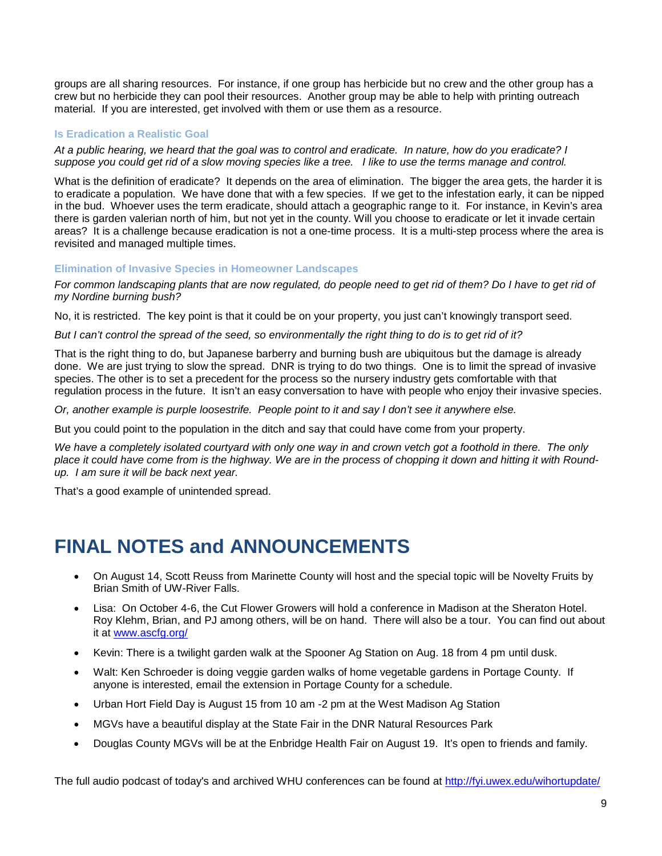groups are all sharing resources. For instance, if one group has herbicide but no crew and the other group has a crew but no herbicide they can pool their resources. Another group may be able to help with printing outreach material. If you are interested, get involved with them or use them as a resource.

### **Is Eradication a Realistic Goal**

*At a public hearing, we heard that the goal was to control and eradicate. In nature, how do you eradicate? I suppose you could get rid of a slow moving species like a tree. I like to use the terms manage and control.*

What is the definition of eradicate? It depends on the area of elimination. The bigger the area gets, the harder it is to eradicate a population. We have done that with a few species. If we get to the infestation early, it can be nipped in the bud. Whoever uses the term eradicate, should attach a geographic range to it. For instance, in Kevin's area there is garden valerian north of him, but not yet in the county. Will you choose to eradicate or let it invade certain areas? It is a challenge because eradication is not a one-time process. It is a multi-step process where the area is revisited and managed multiple times.

**Elimination of Invasive Species in Homeowner Landscapes**

*For common landscaping plants that are now regulated, do people need to get rid of them? Do I have to get rid of my Nordine burning bush?*

No, it is restricted. The key point is that it could be on your property, you just can't knowingly transport seed.

*But I can't control the spread of the seed, so environmentally the right thing to do is to get rid of it?*

That is the right thing to do, but Japanese barberry and burning bush are ubiquitous but the damage is already done. We are just trying to slow the spread. DNR is trying to do two things. One is to limit the spread of invasive species. The other is to set a precedent for the process so the nursery industry gets comfortable with that regulation process in the future. It isn't an easy conversation to have with people who enjoy their invasive species.

*Or, another example is purple loosestrife. People point to it and say I don't see it anywhere else.*

But you could point to the population in the ditch and say that could have come from your property.

*We have a completely isolated courtyard with only one way in and crown vetch got a foothold in there. The only place it could have come from is the highway. We are in the process of chopping it down and hitting it with Roundup. I am sure it will be back next year.*

That's a good example of unintended spread.

## **FINAL NOTES and ANNOUNCEMENTS**

- On August 14, Scott Reuss from Marinette County will host and the special topic will be Novelty Fruits by Brian Smith of UW-River Falls.
- Lisa: On October 4-6, the Cut Flower Growers will hold a conference in Madison at the Sheraton Hotel. Roy Klehm, Brian, and PJ among others, will be on hand. There will also be a tour. You can find out about it at [www.ascfg.org/](http://www.ascfg.org/)
- Kevin: There is a twilight garden walk at the Spooner Ag Station on Aug. 18 from 4 pm until dusk.
- Walt: Ken Schroeder is doing veggie garden walks of home vegetable gardens in Portage County. If anyone is interested, email the extension in Portage County for a schedule.
- Urban Hort Field Day is August 15 from 10 am -2 pm at the West Madison Ag Station
- MGVs have a beautiful display at the State Fair in the DNR Natural Resources Park
- Douglas County MGVs will be at the Enbridge Health Fair on August 19. It's open to friends and family.

The full audio podcast of today's and archived WHU conferences can be found at<http://fyi.uwex.edu/wihortupdate/>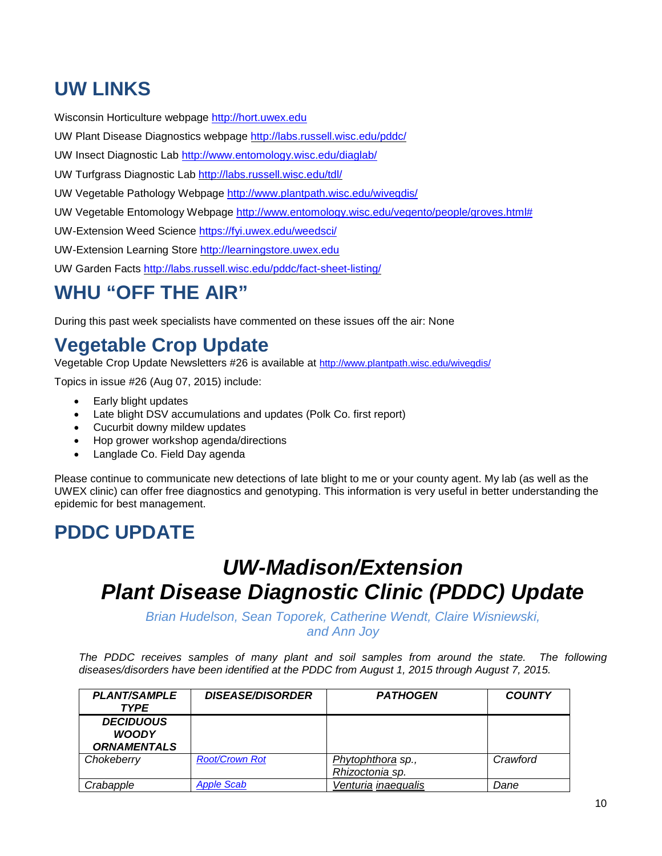## **UW LINKS**

Wisconsin Horticulture webpage [http://hort.uwex.edu](http://hort.uwex.edu/)

UW Plant Disease Diagnostics webpage<http://labs.russell.wisc.edu/pddc/>

UW Insect Diagnostic Lab<http://www.entomology.wisc.edu/diaglab/>

UW Turfgrass Diagnostic Lab<http://labs.russell.wisc.edu/tdl/>

UW Vegetable Pathology Webpage<http://www.plantpath.wisc.edu/wivegdis/>

UW Vegetable Entomology Webpage [http://www.entomology.wisc.edu/vegento/people/groves.html#](http://www.entomology.wisc.edu/vegento/people/groves.html%23)

UW-Extension Weed Science https://fyi.uwex.edu/weedsci/

UW-Extension Learning Store [http://learningstore.uwex.edu](http://learningstore.uwex.edu/)

UW Garden Facts<http://labs.russell.wisc.edu/pddc/fact-sheet-listing/>

# **WHU "OFF THE AIR"**

During this past week specialists have commented on these issues off the air: None

# **Vegetable Crop Update**

Vegetable Crop Update Newsletters #26 is available at<http://www.plantpath.wisc.edu/wivegdis/>

Topics in issue #26 (Aug 07, 2015) include:

- Early blight updates
- Late blight DSV accumulations and updates (Polk Co. first report)
- Cucurbit downy mildew updates
- Hop grower workshop agenda/directions
- Langlade Co. Field Day agenda

Please continue to communicate new detections of late blight to me or your county agent. My lab (as well as the UWEX clinic) can offer free diagnostics and genotyping. This information is very useful in better understanding the epidemic for best management.

## **PDDC UPDATE**

# *UW-Madison/Extension Plant Disease Diagnostic Clinic (PDDC) Update*

*Brian Hudelson, Sean Toporek, Catherine Wendt, Claire Wisniewski,*

*and Ann Joy*

The PDDC receives samples of many plant and soil samples from around the state. The following *diseases/disorders have been identified at the PDDC from August 1, 2015 through August 7, 2015.*

| <b>PLANT/SAMPLE</b><br><b>TYPE</b>                     | <b>DISEASE/DISORDER</b> | <b>PATHOGEN</b>                      | <b>COUNTY</b> |
|--------------------------------------------------------|-------------------------|--------------------------------------|---------------|
| <b>DECIDUOUS</b><br><b>WOODY</b><br><b>ORNAMENTALS</b> |                         |                                      |               |
| Chokeberry                                             | <b>Root/Crown Rot</b>   | Phytophthora sp.,<br>Rhizoctonia sp. | Crawford      |
| Crabapple                                              | <b>Apple Scab</b>       | Venturia inaequalis                  | Dane          |